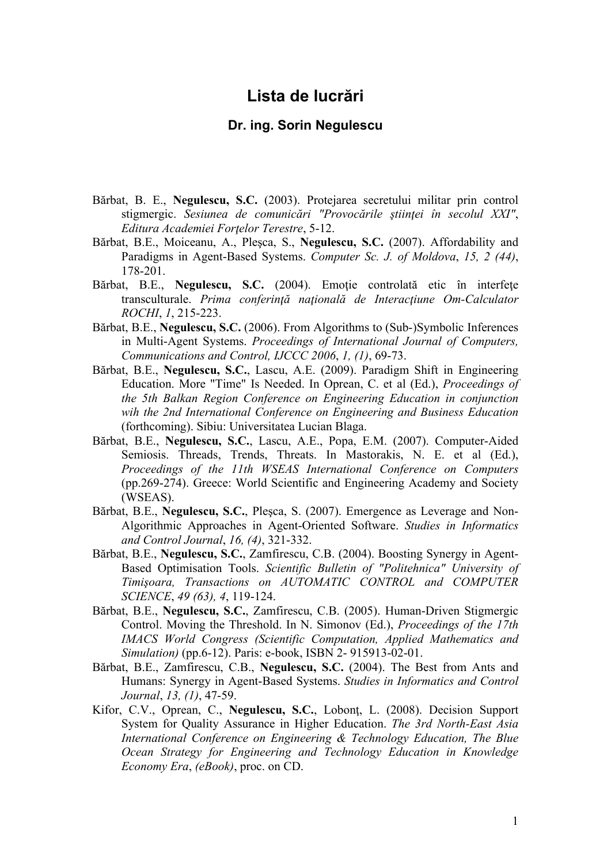## **Lista de lucrări**

## **Dr. ing. Sorin Negulescu**

- Bărbat, B. E., **Negulescu, S.C.** (2003). Protejarea secretului militar prin control stigmergic. *Sesiunea de comunicări "Provocările ştiinţei în secolul XXI"*, *Editura Academiei Forţelor Terestre*, 5-12.
- Bărbat, B.E., Moiceanu, A., Pleşca, S., **Negulescu, S.C.** (2007). Affordability and Paradigms in Agent-Based Systems. *Computer Sc. J. of Moldova*, *15, 2 (44)*, 178-201.
- Bărbat, B.E., **Negulescu, S.C.** (2004). Emoţie controlată etic în interfeţe transculturale. *Prima conferinţă naţională de Interacţiune Om-Calculator ROCHI*, *1*, 215-223.
- Bărbat, B.E., **Negulescu, S.C.** (2006). From Algorithms to (Sub-)Symbolic Inferences in Multi-Agent Systems. *Proceedings of International Journal of Computers, Communications and Control, IJCCC 2006*, *1, (1)*, 69-73.
- Bărbat, B.E., **Negulescu, S.C.**, Lascu, A.E. (2009). Paradigm Shift in Engineering Education. More "Time" Is Needed. In Oprean, C. et al (Ed.), *Proceedings of the 5th Balkan Region Conference on Engineering Education in conjunction wih the 2nd International Conference on Engineering and Business Education* (forthcoming). Sibiu: Universitatea Lucian Blaga.
- Bărbat, B.E., **Negulescu, S.C.**, Lascu, A.E., Popa, E.M. (2007). Computer-Aided Semiosis. Threads, Trends, Threats. In Mastorakis, N. E. et al (Ed.), *Proceedings of the 11th WSEAS International Conference on Computers* (pp.269-274). Greece: World Scientific and Engineering Academy and Society (WSEAS).
- Bărbat, B.E., **Negulescu, S.C.**, Pleşca, S. (2007). Emergence as Leverage and Non-Algorithmic Approaches in Agent-Oriented Software. *Studies in Informatics and Control Journal*, *16, (4)*, 321-332.
- Bărbat, B.E., **Negulescu, S.C.**, Zamfirescu, C.B. (2004). Boosting Synergy in Agent-Based Optimisation Tools. *Scientific Bulletin of "Politehnica" University of Timişoara, Transactions on AUTOMATIC CONTROL and COMPUTER SCIENCE*, *49 (63), 4*, 119-124.
- Bărbat, B.E., **Negulescu, S.C.**, Zamfirescu, C.B. (2005). Human-Driven Stigmergic Control. Moving the Threshold. In N. Simonov (Ed.), *Proceedings of the 17th IMACS World Congress (Scientific Computation, Applied Mathematics and Simulation)* (pp.6-12). Paris: e-book, ISBN 2- 915913-02-01.
- Bărbat, B.E., Zamfirescu, C.B., **Negulescu, S.C.** (2004). The Best from Ants and Humans: Synergy in Agent-Based Systems. *Studies in Informatics and Control Journal*, *13, (1)*, 47-59.
- Kifor, C.V., Oprean, C., **Negulescu, S.C.**, Lobonţ, L. (2008). Decision Support System for Quality Assurance in Higher Education. *The 3rd North-East Asia International Conference on Engineering & Technology Education, The Blue Ocean Strategy for Engineering and Technology Education in Knowledge Economy Era*, *(eBook)*, proc. on CD.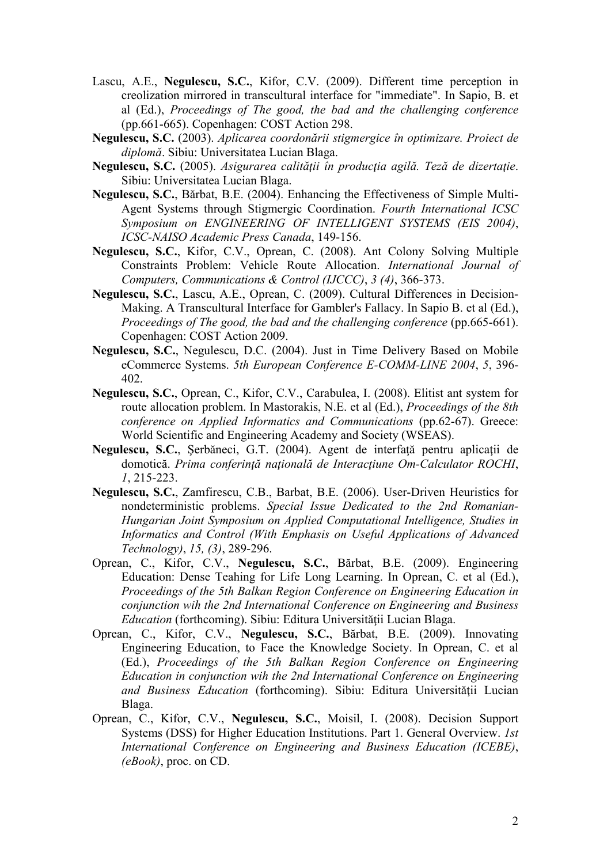- Lascu, A.E., **Negulescu, S.C.**, Kifor, C.V. (2009). Different time perception in creolization mirrored in transcultural interface for "immediate". In Sapio, B. et al (Ed.), *Proceedings of The good, the bad and the challenging conference* (pp.661-665). Copenhagen: COST Action 298.
- **Negulescu, S.C.** (2003). *Aplicarea coordonării stigmergice în optimizare. Proiect de diplomă*. Sibiu: Universitatea Lucian Blaga.
- **Negulescu, S.C.** (2005). *Asigurarea calităţii în producţia agilă. Teză de dizertaţie*. Sibiu: Universitatea Lucian Blaga.
- **Negulescu, S.C.**, Bărbat, B.E. (2004). Enhancing the Effectiveness of Simple Multi-Agent Systems through Stigmergic Coordination. *Fourth International ICSC Symposium on ENGINEERING OF INTELLIGENT SYSTEMS (EIS 2004)*, *ICSC-NAISO Academic Press Canada*, 149-156.
- **Negulescu, S.C.**, Kifor, C.V., Oprean, C. (2008). Ant Colony Solving Multiple Constraints Problem: Vehicle Route Allocation. *International Journal of Computers, Communications & Control (IJCCC)*, *3 (4)*, 366-373.
- **Negulescu, S.C.**, Lascu, A.E., Oprean, C. (2009). Cultural Differences in Decision-Making. A Transcultural Interface for Gambler's Fallacy. In Sapio B. et al (Ed.), *Proceedings of The good, the bad and the challenging conference* (pp.665-661). Copenhagen: COST Action 2009.
- **Negulescu, S.C.**, Negulescu, D.C. (2004). Just in Time Delivery Based on Mobile eCommerce Systems. *5th European Conference E-COMM-LINE 2004*, *5*, 396- 402.
- **Negulescu, S.C.**, Oprean, C., Kifor, C.V., Carabulea, I. (2008). Elitist ant system for route allocation problem. In Mastorakis, N.E. et al (Ed.), *Proceedings of the 8th conference on Applied Informatics and Communications* (pp.62-67). Greece: World Scientific and Engineering Academy and Society (WSEAS).
- **Negulescu, S.C.**, Şerbăneci, G.T. (2004). Agent de interfaţă pentru aplicaţii de domotică. *Prima conferinţă naţională de Interacţiune Om-Calculator ROCHI*, *1*, 215-223.
- **Negulescu, S.C.**, Zamfirescu, C.B., Barbat, B.E. (2006). User-Driven Heuristics for nondeterministic problems. *Special Issue Dedicated to the 2nd Romanian-Hungarian Joint Symposium on Applied Computational Intelligence, Studies in Informatics and Control (With Emphasis on Useful Applications of Advanced Technology)*, *15, (3)*, 289-296.
- Oprean, C., Kifor, C.V., **Negulescu, S.C.**, Bărbat, B.E. (2009). Engineering Education: Dense Teahing for Life Long Learning. In Oprean, C. et al (Ed.), *Proceedings of the 5th Balkan Region Conference on Engineering Education in conjunction wih the 2nd International Conference on Engineering and Business Education* (forthcoming). Sibiu: Editura Universităţii Lucian Blaga.
- Oprean, C., Kifor, C.V., **Negulescu, S.C.**, Bărbat, B.E. (2009). Innovating Engineering Education, to Face the Knowledge Society. In Oprean, C. et al (Ed.), *Proceedings of the 5th Balkan Region Conference on Engineering Education in conjunction wih the 2nd International Conference on Engineering and Business Education* (forthcoming). Sibiu: Editura Universităţii Lucian Blaga.
- Oprean, C., Kifor, C.V., **Negulescu, S.C.**, Moisil, I. (2008). Decision Support Systems (DSS) for Higher Education Institutions. Part 1. General Overview. *1st International Conference on Engineering and Business Education (ICEBE)*, *(eBook)*, proc. on CD.